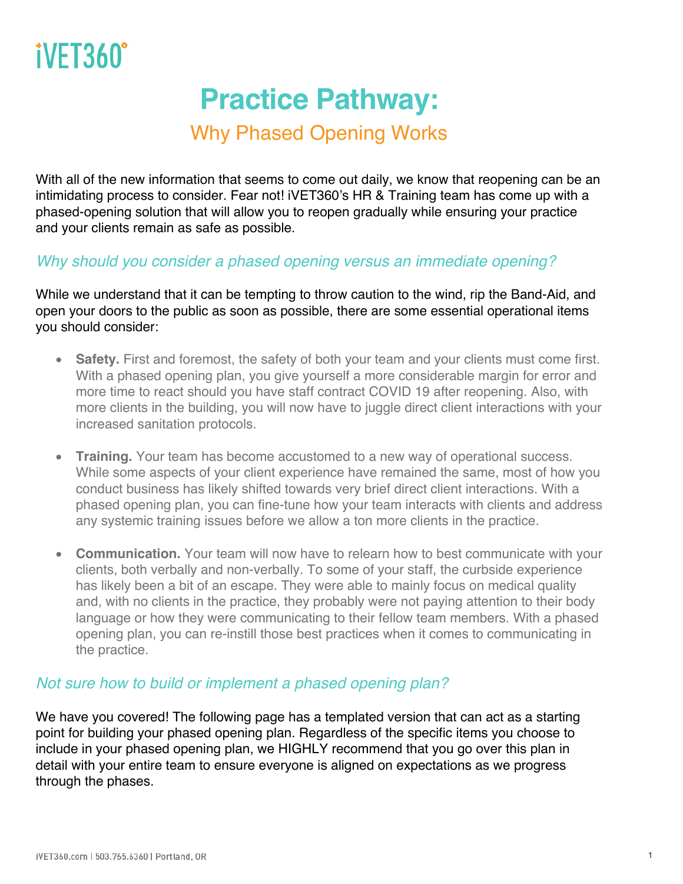## **Practice Pathway:**

### Why Phased Opening Works

With all of the new information that seems to come out daily, we know that reopening can be an intimidating process to consider. Fear not! iVET360's HR & Training team has come up with a phased-opening solution that will allow you to reopen gradually while ensuring your practice and your clients remain as safe as possible.

#### *Why should you consider a phased opening versus an immediate opening?*

While we understand that it can be tempting to throw caution to the wind, rip the Band-Aid, and open your doors to the public as soon as possible, there are some essential operational items you should consider:

- **Safety.** First and foremost, the safety of both your team and your clients must come first. With a phased opening plan, you give yourself a more considerable margin for error and more time to react should you have staff contract COVID 19 after reopening. Also, with more clients in the building, you will now have to juggle direct client interactions with your increased sanitation protocols.
- **Training.** Your team has become accustomed to a new way of operational success. While some aspects of your client experience have remained the same, most of how you conduct business has likely shifted towards very brief direct client interactions. With a phased opening plan, you can fine-tune how your team interacts with clients and address any systemic training issues before we allow a ton more clients in the practice.
- **Communication.** Your team will now have to relearn how to best communicate with your clients, both verbally and non-verbally. To some of your staff, the curbside experience has likely been a bit of an escape. They were able to mainly focus on medical quality and, with no clients in the practice, they probably were not paying attention to their body language or how they were communicating to their fellow team members. With a phased opening plan, you can re-instill those best practices when it comes to communicating in the practice.

#### *Not sure how to build or implement a phased opening plan?*

We have you covered! The following page has a templated version that can act as a starting point for building your phased opening plan. Regardless of the specific items you choose to include in your phased opening plan, we HIGHLY recommend that you go over this plan in detail with your entire team to ensure everyone is aligned on expectations as we progress through the phases.